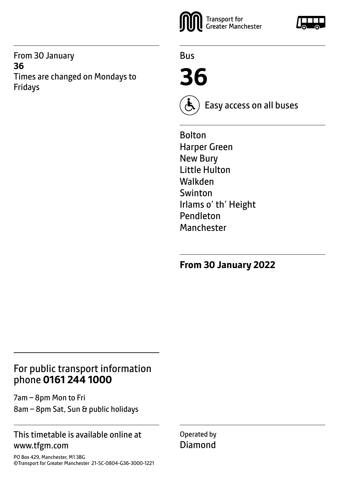From 30 January **36** Times are changed on Mondays to Fridays



Bus

**36**



Easy access on all buses

Bolton Harper Green New Bury Little Hulton Walkden Swinton Irlams o' th' Height Pendleton Manchester

**From 30 January 2022**

# For public transport information phone **0161 244 1000**

7am – 8pm Mon to Fri 8am – 8pm Sat, Sun & public holidays

### This timetable is available online at www.tfgm.com

PO Box 429, Manchester, M1 3BG ©Transport for Greater Manchester 21-SC-0804-G36-3000-1221 Operated by Diamond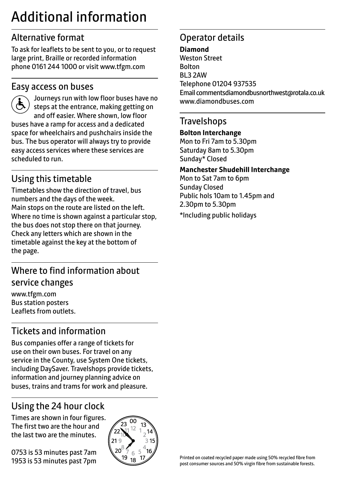# Additional information

# Alternative format

To ask for leaflets to be sent to you, or to request large print, Braille or recorded information phone 0161 244 1000 or visit www.tfgm.com

### Easy access on buses



 Journeys run with low floor buses have no steps at the entrance, making getting on and off easier. Where shown, low floor buses have a ramp for access and a dedicated space for wheelchairs and pushchairs inside the bus. The bus operator will always try to provide easy access services where these services are scheduled to run.

# Using this timetable

Timetables show the direction of travel, bus numbers and the days of the week. Main stops on the route are listed on the left. Where no time is shown against a particular stop, the bus does not stop there on that journey. Check any letters which are shown in the timetable against the key at the bottom of the page.

# Where to find information about service changes

www.tfgm.com Bus station posters Leaflets from outlets.

# Tickets and information

Bus companies offer a range of tickets for use on their own buses. For travel on any service in the County, use System One tickets, including DaySaver. Travelshops provide tickets, information and journey planning advice on buses, trains and trams for work and pleasure.

# Using the 24 hour clock

Times are shown in four figures. The first two are the hour and the last two are the minutes.

0753 is 53 minutes past 7am 1953 is 53 minutes past 7pm



# Operator details

#### **Diamond**

Weston Street Bolton BL3 2AW Telephone 01204 937535 Email commentsdiamondbusnorthwest@rotala.co.uk www.diamondbuses.com

### **Travelshops**

#### **Bolton Interchange**

Mon to Fri 7am to 5.30pm Saturday 8am to 5.30pm Sunday\* Closed

#### **Manchester Shudehill Interchange**

Mon to Sat 7am to 6pm Sunday Closed Public hols 10am to 1.45pm and 2.30pm to 5.30pm

\*Including public holidays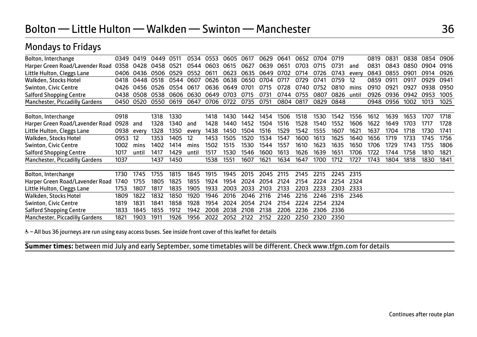| <b>Mondays to Fridays</b>                                                                            |                                                                   |  |  |  |  |  |  |                                                                                                 |                          |  |
|------------------------------------------------------------------------------------------------------|-------------------------------------------------------------------|--|--|--|--|--|--|-------------------------------------------------------------------------------------------------|--------------------------|--|
| Bolton, Interchange                                                                                  | 0349 0419 0449 0511 0534 0553 0605 0617 0629 0641 0652 0704 0719  |  |  |  |  |  |  |                                                                                                 | 0819 0831 0838 0854 0906 |  |
| Harper Green Road/Lavender Road 0358 0428 0458 0521 0544 0603 0615 0627 0639 0651 0703 0715 0731 and |                                                                   |  |  |  |  |  |  | 0831 0843 0850 0904 0916                                                                        |                          |  |
| Little Hulton, Cleggs Lane                                                                           |                                                                   |  |  |  |  |  |  | 0406 0436 0506 0529 0552 0611 0623 0635 0649 0702 0714 0726 0743 every 0843 0855 0901 0914 0926 |                          |  |
| Walkden, Stocks Hotel                                                                                |                                                                   |  |  |  |  |  |  | 0418 0448 0518 0544 0607 0626 0638 0650 0704 0717 0729 0741 0759 12 0859 0911 0917 0929 0941    |                          |  |
| Swinton, Civic Centre                                                                                |                                                                   |  |  |  |  |  |  | 0426 0456 0526 0554 0617 0636 0649 0701 0715 0728 0740 0752 0810 mins 0910 0921 0927 0938 0950  |                          |  |
| <b>Salford Shopping Centre</b>                                                                       |                                                                   |  |  |  |  |  |  | 0438 0508 0538 0606 0630 0649 0703 0715 0731 0744 0755 0807 0826 until 0926 0936 0942 0953 1005 |                          |  |
|                                                                                                      | A 150 A500 A550 A610 A615 A506 A500 A505 A551 AA01 AA03 AA00 AAJA |  |  |  |  |  |  |                                                                                                 |                          |  |

| Swinton, Civic Centre           | 0426 | 0456  | 0526 | 0554 | 0617  | 0636 | 0649 | 0701 | 0715 | 0728 | 0740 | 0752 | 0810 | mins  | 0910 | 0921 | 0927 | 0938 | 0950 |
|---------------------------------|------|-------|------|------|-------|------|------|------|------|------|------|------|------|-------|------|------|------|------|------|
| <b>Salford Shopping Centre</b>  | 0438 | 0508  | 0538 | 0606 | 0630  | 0649 | 0703 | 0715 | 0731 | 0744 | 0755 | 0807 | 0826 | until | 0926 | 0936 | 0942 | 0953 | 1005 |
| Manchester, Piccadilly Gardens  | 0450 | 0520  | 0550 | 0619 | 0647  | 0706 | 0722 | 0735 | 0751 | 0804 | 0817 | 0829 | 0848 |       | 0948 | 0956 | 1002 | 1013 | 1025 |
|                                 |      |       |      |      |       |      |      |      |      |      |      |      |      |       |      |      |      |      |      |
| Bolton, Interchange             | 0918 |       | 1318 | 1330 |       | 1418 | 1430 | 1442 | 1454 | 1506 | 1518 | 1530 | 1542 | 1556  | 1612 | 1639 | 1653 | 1707 | 1718 |
| Harper Green Road/Lavender Road | 0928 | and   | 1328 | 1340 | and   | 1428 | 1440 | 1452 | 1504 | 1516 | 1528 | 1540 | 1552 | 1606  | 1622 | 1649 | 1703 | 1717 | 1728 |
| Little Hulton, Cleggs Lane      | 0938 | every | 1328 | 1350 | every | 1438 | 1450 | 1504 | 1516 | 1529 | 1542 | 1555 | 1607 | 1621  | 1637 | 1704 | 1718 | 1730 | 1741 |
| Walkden, Stocks Hotel           | 0953 | 12    | 1353 | 1405 | -12   | 1453 | 1505 | 1520 | 1534 | 1547 | 1600 | 1613 | 1625 | 1640  | 1656 | 1719 | 1733 | 1745 | 1756 |
| Swinton, Civic Centre           | 1002 | mins  | 1402 | 1414 | mins  | 1502 | 1515 | 1530 | 1544 | 1557 | 1610 | 1623 | 1635 | 1650  | 1706 | 1729 | 1743 | 1755 | 1806 |
| <b>Salford Shopping Centre</b>  | 1017 | until | 1417 | 1429 | until | 1517 | 1530 | 1546 | 1600 | 1613 | 1626 | 1639 | 1651 | 1706  | 1722 | 1744 | 1758 | 1810 | 1821 |
| Manchester, Piccadilly Gardens  | 1037 |       | 1437 | 1450 |       | 1538 | 1551 | 1607 | 1621 | 1634 | 1647 | 1700 | 1712 | 1727  | 1743 | 1804 | 1818 | 1830 | 1841 |
| Bolton, Interchange             | 1730 | 1745  | 1755 | 1815 | 1845  | 1915 | 1945 | 2015 | 2045 | 2115 | 2145 | 2215 | 2245 | 2315  |      |      |      |      |      |
| Harper Green Road/Lavender Road | 1740 | 1755  | 1805 | 1825 | 1855  | 1924 | 1954 | 2024 | 2054 | 2124 | 2154 | 2224 | 2254 | 2324  |      |      |      |      |      |
| Little Hulton, Cleggs Lane      | 1753 | 1807  | 1817 | 1835 | 1905  | 1933 | 2003 | 2033 | 2103 | 2133 | 2203 | 2233 | 2303 | 2333  |      |      |      |      |      |
| Walkden, Stocks Hotel           | 1809 | 1822  | 1832 | 1850 | 1920  | 1946 | 2016 | 2046 | 2116 | 2146 | 2216 | 2246 | 2316 | 2346  |      |      |      |      |      |
| Swinton, Civic Centre           | 1819 | 1831  | 1841 | 1858 | 1928  | 1954 | 2024 | 2054 | 2124 | 2154 | 2224 | 2254 | 2324 |       |      |      |      |      |      |
| <b>Salford Shopping Centre</b>  | 1833 | 1845  | 1855 | 1912 | 1942  | 2008 | 2038 | 2108 | 2138 | 2206 | 2236 | 2306 | 2336 |       |      |      |      |      |      |
| Manchester, Piccadilly Gardens  | 1821 | 1903  | 1911 | 1926 | 1956  | 2022 | 2052 | 2122 | 2152 | 2220 | 2250 | 2320 | 2350 |       |      |      |      |      |      |

& - All bus 36 journeys are run using easy access buses. See inside front cover of this leaflet for details

**Summer times:** between mid July and early September, some timetables will be different. Check www.tfgm.com for details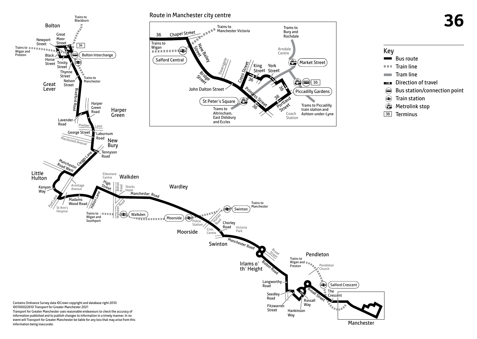

information being inaccurate.

**36**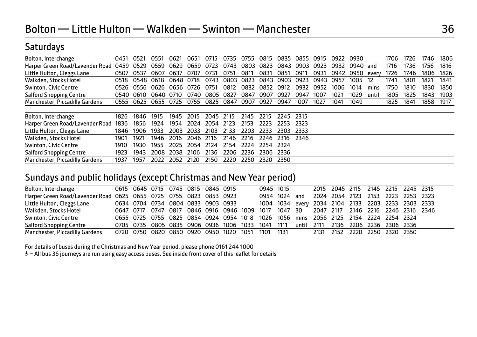### **Saturdays**

| Bolton, Interchange                   | 0451 | 0521 | 0551      | 0621 | 0651 | 0715   | 0735  | 0755 | 0815      | 0835 | 0855 0915 |      | 0922 | 0930       |       | 1706 | 1726 | 1746 | 1806 |
|---------------------------------------|------|------|-----------|------|------|--------|-------|------|-----------|------|-----------|------|------|------------|-------|------|------|------|------|
| Harper Green Road/Lavender Road       | 0459 | 0529 | 0559      | 0629 | 0659 | 0723   | 0743  | 0803 | 0823      |      | 0843 0903 | 0923 | 0932 | 0940 and   |       | 1716 | 1736 | 1756 | 1816 |
| Little Hulton, Cleggs Lane            | 0507 | 0537 | 0607      | 0637 | 0707 | 0731   | 0751  | 0811 | 0831      | 0851 | 0911      | 0931 | 0942 | 0950 everv |       | 1726 | 1746 | 1806 | 1826 |
| Walkden, Stocks Hotel                 | 0518 | 0548 | 0618      | 0648 | 0718 | 0743   | 0803  | 0823 | 0843      | 0903 | 0923      | 0943 | 0957 | 1005       | 12    | 1741 | 1801 | 1821 | 1841 |
| Swinton, Civic Centre                 | 0526 | 0556 | 0626 0656 |      | 0726 | 0751   | 0812  | 0832 | 0852      | 0912 | 0932      | 0952 | 1006 | 1014       | mins  | 1750 | 1810 | 1830 | 1850 |
| <b>Salford Shopping Centre</b>        | 0540 | 0610 | 0640 0710 |      | 0740 | 0805   | 0827  | 0847 | 0907      | 0927 | 0947      | 1007 | 1021 | 1029       | until | 1805 | 1825 | 1843 | 1903 |
| <b>Manchester, Piccadilly Gardens</b> | 0555 | 0625 | 0655      | 0725 | 0755 | 0825   | 0847  | 0907 | 0927      | 0947 | 1007      | 1027 | 1041 | 1049       |       | 1825 | 1841 | 1858 | 1917 |
|                                       |      |      |           |      |      |        |       |      |           |      |           |      |      |            |       |      |      |      |      |
| Bolton, Interchange                   | 1826 | 1846 | 1915      | 1945 | 2015 | 2045   | 2115  | 2145 | 2215      | 2245 | -2315     |      |      |            |       |      |      |      |      |
| Harper Green Road/Lavender Road       | 1836 | 1856 | 1924      | 1954 | 2024 | 2054   | -2123 | 2153 | 2223      | 2253 | - 2323    |      |      |            |       |      |      |      |      |
| Little Hulton, Cleggs Lane            | 1846 | 1906 | 1933      | 2003 | 2033 | 2103   | 2133  | 2203 | 2233      | 2303 | 2333      |      |      |            |       |      |      |      |      |
| Walkden, Stocks Hotel                 | 1901 | 1921 | 1946      | 2016 | 2046 | - 2116 | 2146  | 2216 | 2246      | 2316 | -2346     |      |      |            |       |      |      |      |      |
| Swinton, Civic Centre                 | 1910 | 1930 | 1955      | 2025 | 2054 | 2124   | 2154  | 2224 | 2254 2324 |      |           |      |      |            |       |      |      |      |      |
| <b>Salford Shopping Centre</b>        | 1923 | 1943 | 2008      | 2038 | 2106 | 2136   | 2206  | 2236 | 2306 2336 |      |           |      |      |            |       |      |      |      |      |
| <b>Manchester, Piccadilly Gardens</b> | 1937 | 1957 | 2022      | 2052 | 2120 | 2150   | 2220  | 2250 | 2320      | 2350 |           |      |      |            |       |      |      |      |      |

## Sundays and public holidays (except Christmas and New Year period)

| Bolton, Interchange                                                | 0615 0645 0715 0745 0815 0845 0915 |  |  |  | 0945 1015                                         |                                                                                         |  |                               | 2015 2045 2115 2145 2215 2245 2315 |  |
|--------------------------------------------------------------------|------------------------------------|--|--|--|---------------------------------------------------|-----------------------------------------------------------------------------------------|--|-------------------------------|------------------------------------|--|
| Harper Green Road/Lavender Road 0625 0655 0725 0755 0823 0853 0923 |                                    |  |  |  | 0954 1024                                         | and                                                                                     |  |                               | 2024 2054 2123 2153 2223 2253 2323 |  |
| Little Hulton, Cleggs Lane                                         | 0634 0704 0734 0804 0833 0903 0933 |  |  |  |                                                   | 1004 1034 every 2034 2104 2133 2203 2233 2303 2333                                      |  |                               |                                    |  |
| Walkden, Stocks Hotel                                              |                                    |  |  |  |                                                   | 0647 0717 0747 0817 0846 0916 0946 1009 1017 1047 30 2047 2117 2146 2216 2246 2316 2346 |  |                               |                                    |  |
| Swinton, Civic Centre                                              |                                    |  |  |  |                                                   | 0655 0725 0755 0825 0854 0924 0954 1018 1026 1056 mins 2056 2125 2154 2224 2254 2324    |  |                               |                                    |  |
| Salford Shopping Centre                                            |                                    |  |  |  | 0705 0735 0805 0835 0906 0936 1006 1033 1041 1111 | until 2111 2136 2206 2236 2306 2336                                                     |  |                               |                                    |  |
| Manchester, Piccadilly Gardens                                     |                                    |  |  |  | 0720 0750 0820 0850 0920 0950 1020 1051 1101 1131 |                                                                                         |  | 2131 2152 2220 2250 2320 2350 |                                    |  |

For details of buses during the Christmas and New Year period, please phone 0161 244 1000

& - All bus 36 journeys are run using easy access buses. See inside front cover of this leaflet for details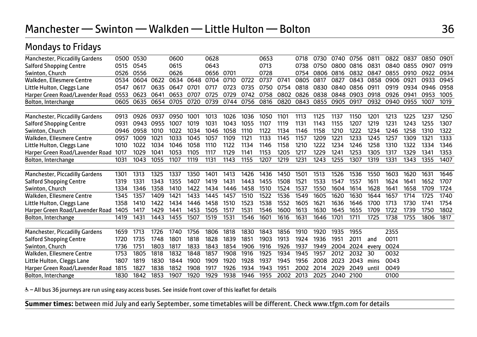# Mondays to Fridays

| <b>Manchester, Piccadilly Gardens</b> | 0500 | 0530 |      | 0600 |      | 0628 |      |      | 0653 |      | 0718 | 0730 | 0740      | 0756 | 0811  | 0822 | 0837 | 0850 | 0901 |
|---------------------------------------|------|------|------|------|------|------|------|------|------|------|------|------|-----------|------|-------|------|------|------|------|
| <b>Salford Shopping Centre</b>        | 0515 | 0545 |      | 0615 |      | 0643 |      |      | 0713 |      | 0738 | 0750 | 0800      | 0816 | 0831  | 0840 | 0855 | 0907 | 0919 |
| Swinton, Church                       | 0526 | 0556 |      | 0626 |      | 0656 | 0701 |      | 0728 |      | 0754 | 0806 | 0816      | 0832 | 0847  | 0855 | 0910 | 0922 | 0934 |
| Walkden, Ellesmere Centre             | 0534 | 0604 | 0622 | 0634 | 0648 | 0704 | 0710 | 0722 | 0737 | 0741 | 0805 | 0817 | 0827      | 0843 | 0858  | 0906 | 0921 | 0933 | 0945 |
| Little Hulton, Cleggs Lane            | 0547 | 0617 | 0635 | 0647 | 0701 | 0717 | 0723 | 0735 | 0750 | 0754 | 0818 | 0830 | 0840 0856 |      | 0911  | 0919 | 0934 | 0946 | 0958 |
| Harper Green Road/Lavender Road       | 0553 | 0623 | 0641 | 0653 | 0707 | 0725 | 0729 | 0742 | 0758 | 0802 | 0826 | 0838 | 0848      | 0903 | 0918  | 0926 | 0941 | 0953 | 1005 |
| Bolton, Interchange                   | 0605 | 0635 | 0654 | 0705 | 0720 | 0739 | 0744 | 0756 | 0816 | 0820 | 0843 | 0855 | 0905      | 0917 | 0932  | 0940 | 0955 | 1007 | 1019 |
|                                       |      |      |      |      |      |      |      |      |      |      |      |      |           |      |       |      |      |      |      |
| Manchester, Piccadilly Gardens        | 0913 | 0926 | 0937 | 0950 | 1001 | 1013 | 1026 | 1036 | 1050 | 1101 | 1113 | 1125 | 1137      | 1150 | 1201  | 1213 | 1225 | 1237 | 1250 |
| <b>Salford Shopping Centre</b>        | 0931 | 0943 | 0955 | 1007 | 1019 | 1031 | 1043 | 1055 | 1107 | 1119 | 1131 | 1143 | 1155      | 1207 | 1219  | 1231 | 1243 | 1255 | 1307 |
| Swinton, Church                       | 0946 | 0958 | 1010 | 1022 | 1034 | 1046 | 1058 | 1110 | 1122 | 1134 | 1146 | 1158 | 1210      | 1222 | 1234  | 1246 | 1258 | 1310 | 1322 |
| Walkden, Ellesmere Centre             | 0957 | 1009 | 1021 | 1033 | 1045 | 1057 | 1109 | 1121 | 1133 | 1145 | 1157 | 1209 | 1221      | 1233 | 1245  | 1257 | 1309 | 1321 | 1333 |
| Little Hulton, Cleggs Lane            | 1010 | 1022 | 1034 | 1046 | 1058 | 1110 | 1122 | 1134 | 1146 | 1158 | 1210 | 1222 | 1234      | 1246 | 1258  | 1310 | 1322 | 1334 | 1346 |
| Harper Green Road/Lavender Road       | 1017 | 1029 | 1041 | 1053 | 1105 | 1117 | 1129 | 1141 | 1153 | 1205 | 1217 | 1229 | 1241      | 1253 | 1305  | 1317 | 1329 | 1341 | 1353 |
| Bolton, Interchange                   | 1031 | 1043 | 1055 | 1107 | 1119 | 1131 | 1143 | 1155 | 1207 | 1219 | 1231 | 1243 | 1255      | 1307 | 1319  | 1331 | 1343 | 1355 | 1407 |
|                                       |      |      |      |      |      |      |      |      |      |      |      |      |           |      |       |      |      |      |      |
| Manchester, Piccadilly Gardens        | 1301 | 1313 | 1325 | 1337 | 1350 | 1401 | 1413 | 1426 | 1436 | 1450 | 1501 | 1513 | 1526      | 1536 | 1550  | 1603 | 1620 | 1631 | 1646 |
| <b>Salford Shopping Centre</b>        | 1319 | 1331 | 1343 | 1355 | 1407 | 1419 | 1431 | 1443 | 1455 | 1508 | 1521 | 1533 | 1547      | 1557 | 1611  | 1624 | 1641 | 1652 | 1707 |
| Swinton, Church                       | 1334 | 1346 | 1358 | 1410 | 1422 | 1434 | 1446 | 1458 | 1510 | 1524 | 1537 | 1550 | 1604      | 1614 | 1628  | 1641 | 1658 | 1709 | 1724 |
| Walkden, Ellesmere Centre             | 1345 | 1357 | 1409 | 1421 | 1433 | 1445 | 1457 | 1510 | 1522 | 1536 | 1549 | 1605 | 1620      | 1630 | 1644  | 1657 | 1714 | 1725 | 1740 |
| Little Hulton, Cleggs Lane            | 1358 | 1410 | 1422 | 1434 | 1446 | 1458 | 1510 | 1523 | 1538 | 1552 | 1605 | 1621 | 1636      | 1646 | 1700  | 1713 | 1730 | 1741 | 1754 |
| Harper Green Road/Lavender Road       | 1405 | 1417 | 1429 | 1441 | 1453 | 1505 | 1517 | 1531 | 1546 | 1600 | 1613 | 1630 | 1645      | 1655 | 1709  | 1722 | 1739 | 1750 | 1802 |
| Bolton, Interchange                   | 1419 | 1431 | 1443 | 1455 | 1507 | 1519 | 1531 | 1546 | 1601 | 1616 | 1631 | 1646 | 1701      | 1711 | 1725  | 1738 | 1755 | 1806 | 1817 |
| Manchester, Piccadilly Gardens        | 1659 | 1713 | 1726 | 1740 | 1756 | 1806 | 1818 | 1830 | 1843 | 1856 | 1910 | 1920 | 1935      | 1955 |       | 2355 |      |      |      |
| <b>Salford Shopping Centre</b>        | 1720 | 1735 | 1748 | 1801 | 1818 | 1828 | 1839 | 1851 | 1903 | 1913 | 1924 | 1936 | 1951      | 2011 | and   | 0011 |      |      |      |
| Swinton, Church                       | 1736 | 1751 | 1803 | 1817 | 1833 | 1843 | 1854 | 1906 | 1916 | 1926 | 1937 | 1949 | 2004      | 2024 | every | 0024 |      |      |      |
| Walkden, Ellesmere Centre             | 1753 | 1805 | 1818 | 1832 | 1848 | 1857 | 1908 | 1916 | 1925 | 1934 | 1945 | 1957 | 2012      | 2032 | 30    | 0032 |      |      |      |
| Little Hulton, Cleggs Lane            | 1807 | 1819 | 1830 | 1844 | 1900 | 1909 | 1920 | 1928 | 1937 | 1945 | 1956 | 2008 | 2023      | 2043 | mins  | 0043 |      |      |      |
| Harper Green Road/Lavender Road       | 1815 | 1827 | 1838 | 1852 | 1908 | 1917 | 1926 | 1934 | 1943 | 1951 | 2002 | 2014 | 2029      | 2049 | until | 0049 |      |      |      |
| Bolton, Interchange                   | 1830 | 1842 | 1853 | 1907 | 1920 | 1929 | 1938 | 1946 | 1955 | 2002 | 2013 | 2025 | 2040      | 2100 |       | 0100 |      |      |      |

& - All bus 36 journeys are run using easy access buses. See inside front cover of this leaflet for details

**Summer times:** between mid July and early September, some timetables will be different. Check www.tfgm.com for details